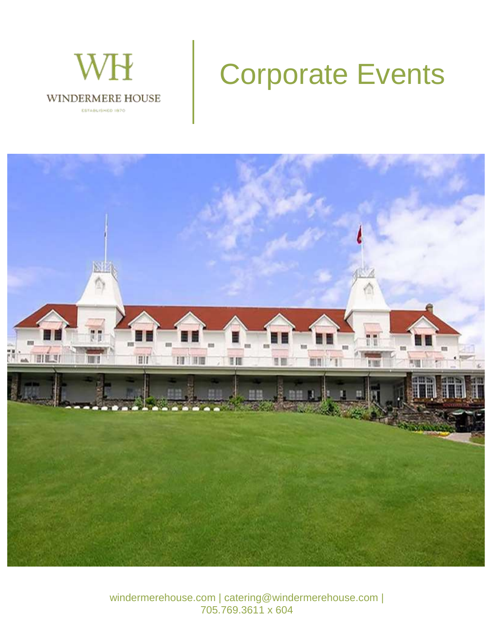

# Corporate Events



windermerehouse.com | [catering@windermerehouse.com |](mailto:events@windermerehouse.com) 705.769.3611 x 604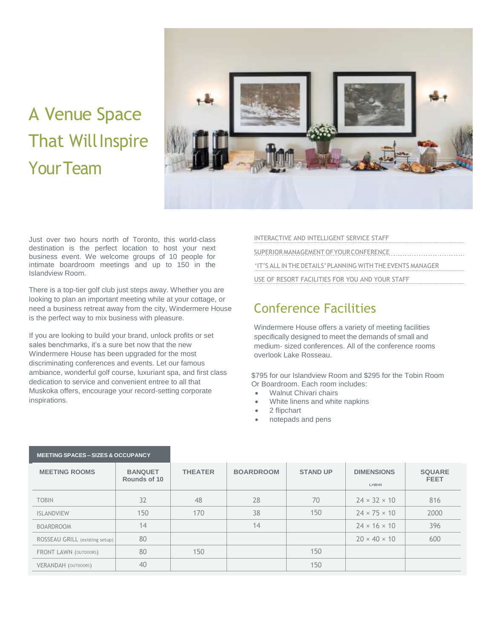## A Venue Space **That Will Inspire Your Team**



Just over two hours north of Toronto, this world-class destination is the perfect location to host your next business event. We welcome groups of 10 people for intimate boardroom meetings and up to 150 in the Islandview Room.

There is a top-tier golf club just steps away. Whether you are looking to plan an important meeting while at your cottage, or need a business retreat away from the city, Windermere House is the perfect way to mix business with pleasure.

If you are looking to build your brand, unlock profits or set sales benchmarks, it's a sure bet now that the new Windermere House has been upgraded for the most discriminating conferences and events. Let our famous ambiance, wonderful golf course, luxuriant spa, and first class dedication to service and convenient entree to all that Muskoka offers, encourage your record-setting corporate inspirations.

INTERACTIVE AND INTELLIGENT SERVICE STAFF SUPERIOR MANAGEMENT OFYOURCONFERENCE 'IT'S ALL INTHE DETAILS'PLANNING WITH THE EVENTS MANAGER USE OF RESORT FACILITIES FOR YOU AND YOUR STAFF

## Conference Facilities

Windermere House offers a variety of meeting facilities specifically designed to meet the demands of small and medium- sized conferences. All of the conference rooms overlook Lake Rosseau.

\$795 for our Islandview Room and \$295 for the Tobin Room Or Boardroom. Each room includes:

- Walnut Chivari chairs
- White linens and white napkins
- 2 flipchart
- notepads and pens

| <b>MEETING ROOMS</b>           | <b>BANQUET</b><br>Rounds of 10 | <b>THEATER</b> | <b>BOARDROOM</b> | <b>STAND UP</b> | <b>DIMENSIONS</b><br>$L \times W \times H$ | <b>SQUARE</b><br><b>FEET</b> |
|--------------------------------|--------------------------------|----------------|------------------|-----------------|--------------------------------------------|------------------------------|
| <b>TOBIN</b>                   | 32                             | 48             | 28               | 70              | $24 \times 32 \times 10$                   | 816                          |
| <b>ISLANDVIEW</b>              | 150                            | 170            | 38               | 150             | $24 \times 75 \times 10$                   | 2000                         |
| <b>BOARDROOM</b>               | 14                             |                | 14               |                 | $24 \times 16 \times 10$                   | 396                          |
| ROSSEAU GRILL (existing setup) | 80                             |                |                  |                 | $20 \times 40 \times 10$                   | 600                          |
| <b>FRONT LAWN (OUTDOORS)</b>   | 80                             | 150            |                  | 150             |                                            |                              |
| VERANDAH (OUTDOORS)            | 40                             |                |                  | 150             |                                            |                              |

#### **MEETING SPACES – SIZES & OCCUPANCY**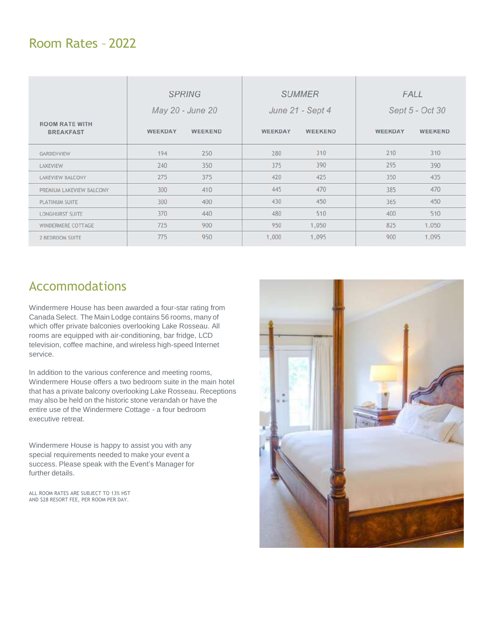## Room Rates – 2022

|                                           | <b>SPRING</b><br>May 20 - June 20 |         | <b>SUMMER</b><br>June 21 - Sept 4 |                | FALL<br>Sept 5 - Oct 30 |                |
|-------------------------------------------|-----------------------------------|---------|-----------------------------------|----------------|-------------------------|----------------|
| <b>ROOM RATE WITH</b><br><b>BREAKFAST</b> | WEEKDAY                           | WEEKEND | WEEKDAY                           | <b>WEEKEND</b> | WEEKDAY                 | <b>WEEKEND</b> |
| GARDENVIEW                                | 194                               | 250     | 280                               | 310            | 210                     | 310            |
| LAKEVIEW                                  | 240                               | 350     | 375                               | 390            | 295                     | 390            |
| LAKEVIEW BALCONY                          | 275                               | 375     | 420                               | 425            | 350                     | 435            |
| PREMIUM LAKEVIEW BALCONY                  | 300                               | 410     | 445                               | 470            | 385                     | 470            |
| PLATINUM SUITE                            | 300                               | 400     | 430                               | 450            | 365                     | 450            |
| LONGHURST SUITE                           | 370                               | 440     | 480                               | 510            | 400                     | 510            |
| WINDERMERE COTTAGE                        | 725                               | 900     | 950                               | 1,050          | 825                     | 1,050          |
| <b>2 BEDROOM SUITE</b>                    | 775                               | 950     | 1.000                             | 1,095          | 900                     | 1.095          |

## Accommodations

Windermere House has been awarded a four-star rating from Canada Select. The Main Lodge contains 56 rooms, many of which offer private balconies overlooking Lake Rosseau. All rooms are equipped with air-conditioning, bar fridge, LCD television, coffee machine, and wireless high-speed Internet service.

In addition to the various conference and meeting rooms, Windermere House offers a two bedroom suite in the main hotel that has a private balcony overlooking Lake Rosseau. Receptions may also be held on the historic stone verandah or have the entire use of the Windermere Cottage - a four bedroom executive retreat.

Windermere House is happy to assist you with any special requirements needed to make your event a success. Please speak with the Event's Manager for further details.

ALL ROOM RATES ARE SUBJECT TO 13% HST AND \$28 RESORT FEE, PER ROOM PER DAY.

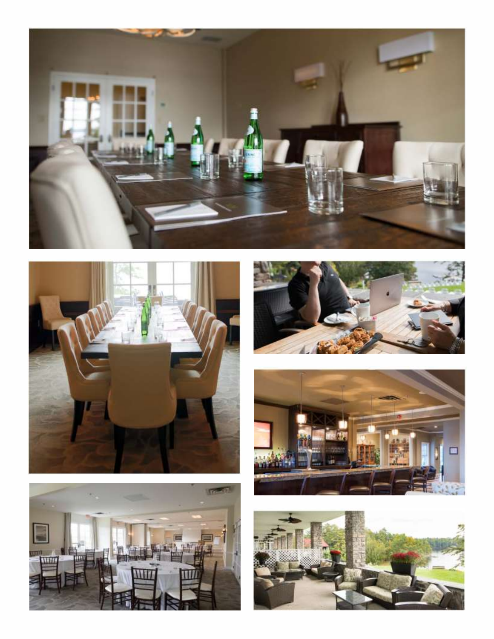









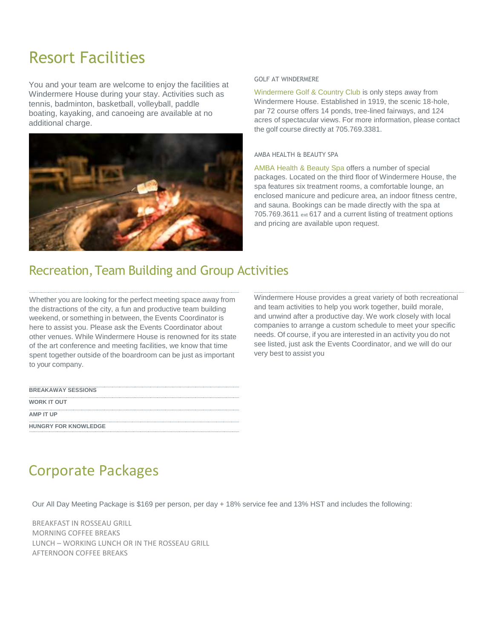## Resort Facilities

You and your team are welcome to enjoy the facilities at Windermere House during your stay. Activities such as tennis, badminton, basketball, volleyball, paddle boating, kayaking, and canoeing are available at no additional charge.



#### GOLF AT WINDERMERE

[Windermere Golf & Country Club i](https://www.windermeregolf.ca/)s only steps away from Windermere House. Established in 1919, the scenic 18-hole, par 72 course offers 14 ponds, tree-lined fairways, and 124 acres of spectacular views. For more information, please contact the golf course directly at 705.769.3381.

#### AMBA HEALTH & BEAUTY SPA

[AMBA Health & Beauty Spa o](http://www.ambaspa.com/)ffers a number of special packages. Located on the third floor of Windermere House, the spa features six treatment rooms, a comfortable lounge, an enclosed manicure and pedicure area, an indoor fitness centre, and sauna. Bookings can be made directly with the spa at 705.769.3611 ext 617 and a current listing of treatment options and pricing are available upon request.

### Recreation,Team Building and Group Activities

Whether you are looking for the perfect meeting space away from the distractions of the city, a fun and productive team building weekend, or something in between, the Events Coordinator is here to assist you. Please ask the Events Coordinator about other venues. While Windermere House is renowned for its state of the art conference and meeting facilities, we know that time spent together outside of the boardroom can be just as important to your company.

Windermere House provides a great variety of both recreational and team activities to help you work together, build morale, and unwind after a productive day. We work closely with local companies to arrange a custom schedule to meet your specific needs. Of course, if you are interested in an activity you do not see listed, just ask the Events Coordinator, and we will do our very best to assist you

| <b>BREAKAWAY SESSIONS</b>   |
|-----------------------------|
| <b>WORK IT OUT</b>          |
| AMP IT UP                   |
| <b>HUNGRY FOR KNOWLEDGE</b> |

## Corporate Packages

Our All Day Meeting Package is \$169 per person, per day + 18% service fee and 13% HST and includes the following:

BREAKFAST IN ROSSEAU GRILL MORNING COFFEE BREAKS LUNCH – WORKING LUNCH OR IN THE ROSSEAU GRILL AFTERNOON COFFEE BREAKS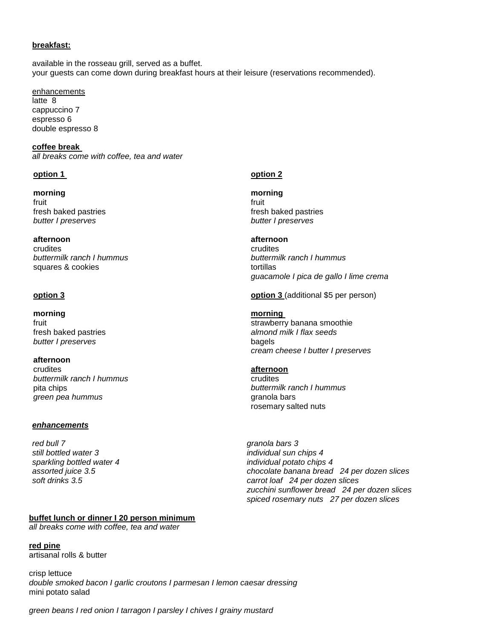#### **breakfast:**

available in the rosseau grill, served as a buffet. your guests can come down during breakfast hours at their leisure (reservations recommended).

enhancements latte 8 cappuccino 7 espresso 6 double espresso 8

**coffee break**  *all breaks come with coffee, tea and water*

#### **option 1**

**morning** fruit fresh baked pastries *butter I preserves*

**afternoon** crudites *buttermilk ranch I hummus* squares & cookies

#### **option 3**

**morning** fruit fresh baked pastries *butter I preserves*

**afternoon** crudites *buttermilk ranch I hummus* pita chips *green pea hummus*

#### *enhancements*

*red bull 7 still bottled water 3 sparkling bottled water 4 assorted juice 3.5 soft drinks 3.5*

#### **buffet lunch or dinner I 20 person minimum**

*all breaks come with coffee, tea and water* 

**red pine** artisanal rolls & butter

crisp lettuce *double smoked bacon I garlic croutons I parmesan I lemon caesar dressing* mini potato salad

*green beans I red onion I tarragon I parsley I chives I grainy mustard*

#### **option 2**

**morning** fruit fresh baked pastries *butter I preserves*

**afternoon** crudites *buttermilk ranch I hummus* tortillas *guacamole I pica de gallo I lime crema*

**option 3** (additional \$5 per person)

#### **morning**

strawberry banana smoothie *almond milk I flax seeds* bagels *cream cheese I butter I preserves*

#### **afternoon**

crudites *buttermilk ranch I hummus* granola bars rosemary salted nuts

*granola bars 3 individual sun chips 4 individual potato chips 4 chocolate banana bread 24 per dozen slices carrot loaf 24 per dozen slices zucchini sunflower bread 24 per dozen slices spiced rosemary nuts 27 per dozen slices*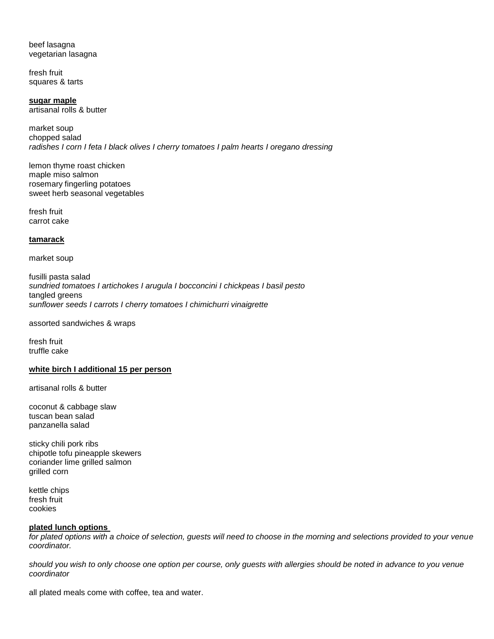beef lasagna vegetarian lasagna

fresh fruit squares & tarts

**sugar maple** artisanal rolls & butter

market soup chopped salad *radishes I corn I feta I black olives I cherry tomatoes I palm hearts I oregano dressing*

lemon thyme roast chicken maple miso salmon rosemary fingerling potatoes sweet herb seasonal vegetables

fresh fruit carrot cake

#### **tamarack**

market soup

fusilli pasta salad *sundried tomatoes I artichokes I arugula I bocconcini I chickpeas I basil pesto* tangled greens *sunflower seeds I carrots I cherry tomatoes I chimichurri vinaigrette*

assorted sandwiches & wraps

fresh fruit truffle cake

**white birch I additional 15 per person**

artisanal rolls & butter

coconut & cabbage slaw tuscan bean salad panzanella salad

sticky chili pork ribs chipotle tofu pineapple skewers coriander lime grilled salmon grilled corn

kettle chips fresh fruit cookies

#### **plated lunch options**

for plated options with a choice of selection, guests will need to choose in the morning and selections provided to your venue *coordinator.* 

*should you wish to only choose one option per course, only guests with allergies should be noted in advance to you venue coordinator* 

all plated meals come with coffee, tea and water.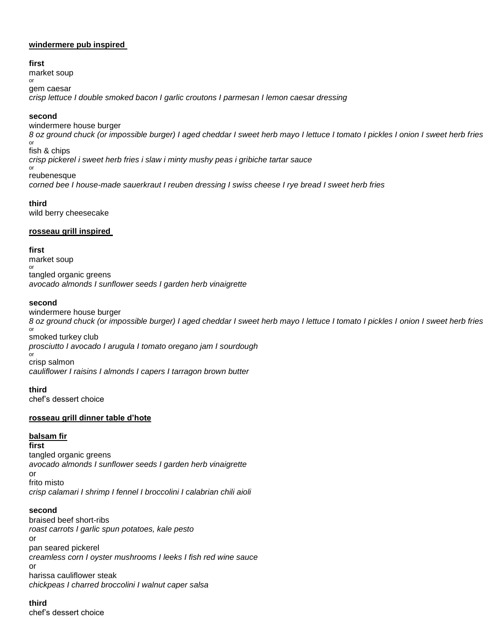#### **windermere pub inspired**

**first**

market soup or gem caesar *crisp lettuce I double smoked bacon I garlic croutons I parmesan I lemon caesar dressing*

#### **second**

windermere house burger *8 oz ground chuck (or impossible burger) I aged cheddar I sweet herb mayo I lettuce I tomato I pickles I onion I sweet herb fries* or fish & chips *crisp pickerel i sweet herb fries i slaw i minty mushy peas i gribiche tartar sauce*  or reubenesque *corned bee I house-made sauerkraut I reuben dressing I swiss cheese I rye bread I sweet herb fries*

**third** wild berry cheesecake

#### **rosseau grill inspired**

#### **first**

market soup or tangled organic greens *avocado almonds I sunflower seeds I garden herb vinaigrette*

#### **second**

windermere house burger *8 oz ground chuck (or impossible burger) I aged cheddar I sweet herb mayo I lettuce I tomato I pickles I onion I sweet herb fries* or

smoked turkey club *prosciutto I avocado I arugula I tomato oregano jam I sourdough* or crisp salmon *cauliflower I raisins I almonds I capers I tarragon brown butter*

**third** chef's dessert choice

#### **rosseau grill dinner table d'hote**

#### **balsam fir**

**first** tangled organic greens *avocado almonds I sunflower seeds I garden herb vinaigrette* or frito misto *crisp calamari I shrimp I fennel I broccolini I calabrian chili aioli*

#### **second**

braised beef short-ribs *roast carrots I garlic spun potatoes, kale pesto*  or pan seared pickerel *creamless corn I oyster mushrooms I leeks I fish red wine sauce* or harissa cauliflower steak *chickpeas I charred broccolini I walnut caper salsa*

**third** chef's dessert choice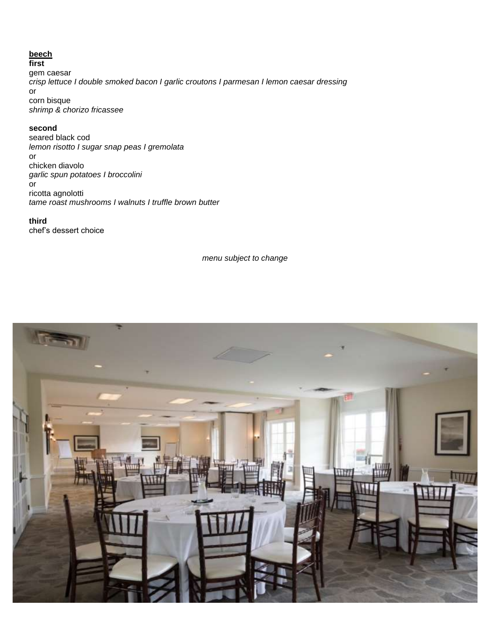#### **beech**

**first** gem caesar *crisp lettuce I double smoked bacon I garlic croutons I parmesan I lemon caesar dressing* or corn bisque *shrimp & chorizo fricassee*

#### **second**

seared black cod *lemon risotto I sugar snap peas I gremolata*  or chicken diavolo *garlic spun potatoes I broccolini* or ricotta agnolotti *tame roast mushrooms I walnuts I truffle brown butter*

**third**

chef's dessert choice

*menu subject to change*